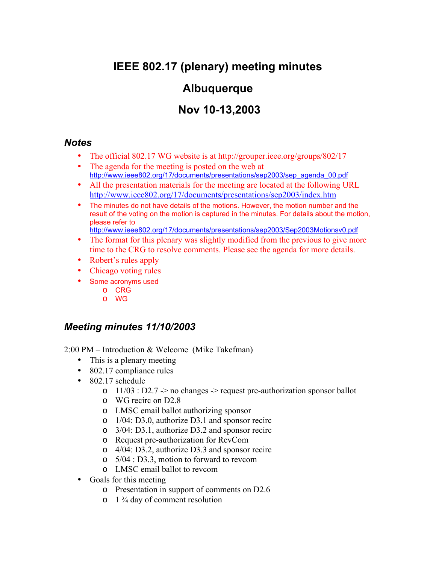# **IEEE 802.17 (plenary) meeting minutes**

## **Albuquerque**

## **Nov 10-13,2003**

#### *Notes*

- The official 802.17 WG website is at <http://grouper.ieee.org/groups/802/17>
- The agenda for the meeting is posted on the web at [http://www.ieee802.org/17/documents/presentations/sep2003/sep\\_agenda\\_00.pdf](http://www.ieee802.org/17/documents/presentations/sep2003/sep_agenda_00.pdf)
- All the presentation materials for the meeting are located at the following URL <http://www.ieee802.org/17/documents/presentations/sep2003/index.htm>
- The minutes do not have details of the motions. However, the motion number and the result of the voting on the motion is captured in the minutes. For details about the motion, please refer to

<http://www.ieee802.org/17/documents/presentations/sep2003/Sep2003Motionsv0.pdf>

- The format for this plenary was slightly modified from the previous to give more time to the CRG to resolve comments. Please see the agenda for more details.
- Robert's rules apply
- Chicago voting rules
- Some acronyms used
	- o CRG
	- o WG

### *Meeting minutes 11/10/2003*

2:00 PM – Introduction & Welcome (Mike Takefman)

- This is a plenary meeting
- 802.17 compliance rules
- 802.17 schedule
	- $\circ$  11/03 : D2.7 -> no changes -> request pre-authorization sponsor ballot
	- o WG recirc on D2.8
	- o LMSC email ballot authorizing sponsor
	- o 1/04: D3.0, authorize D3.1 and sponsor recirc
	- o 3/04: D3.1, authorize D3.2 and sponsor recirc
	- o Request pre-authorization for RevCom
	- o 4/04: D3.2, authorize D3.3 and sponsor recirc
	- o 5/04 : D3.3, motion to forward to revcom
	- o LMSC email ballot to revcom
- Goals for this meeting
	- o Presentation in support of comments on D2.6
	- $\circ$  1  $\frac{3}{4}$  day of comment resolution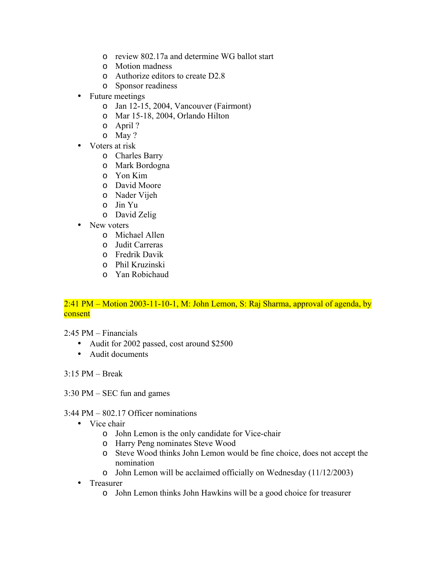- o review 802.17a and determine WG ballot start
- o Motion madness
- o Authorize editors to create D2.8
- o Sponsor readiness
- Future meetings
	- o Jan 12-15, 2004, Vancouver (Fairmont)
	- o Mar 15-18, 2004, Orlando Hilton
	- o April ?
	- o May ?
- Voters at risk
	- o Charles Barry
	- o Mark Bordogna
	- o Yon Kim
	- o David Moore
	- o Nader Vijeh
	- o Jin Yu
	- o David Zelig
- New voters
	- o Michael Allen
	- o Judit Carreras
	- o Fredrik Davik
	- o Phil Kruzinski
	- o Yan Robichaud

#### 2:41 PM – Motion 2003-11-10-1, M: John Lemon, S: Raj Sharma, approval of agenda, by consent

2:45 PM – Financials

- Audit for 2002 passed, cost around \$2500
- Audit documents

3:15 PM – Break

- 3:30 PM SEC fun and games
- 3:44 PM 802.17 Officer nominations
	- Vice chair
		- o John Lemon is the only candidate for Vice-chair
		- o Harry Peng nominates Steve Wood
		- o Steve Wood thinks John Lemon would be fine choice, does not accept the nomination
		- o John Lemon will be acclaimed officially on Wednesday (11/12/2003)
	- Treasurer
		- o John Lemon thinks John Hawkins will be a good choice for treasurer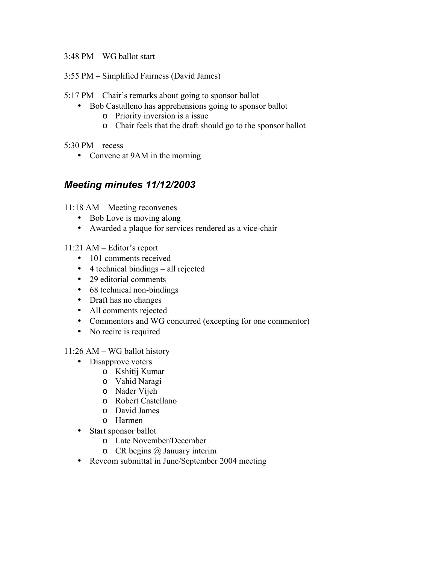3:48 PM – WG ballot start

3:55 PM – Simplified Fairness (David James)

5:17 PM – Chair's remarks about going to sponsor ballot

- Bob Castalleno has apprehensions going to sponsor ballot
	- o Priority inversion is a issue
	- o Chair feels that the draft should go to the sponsor ballot

 $5:30$  PM – recess

• Convene at 9AM in the morning

### *Meeting minutes 11/12/2003*

11:18 AM – Meeting reconvenes

- Bob Love is moving along
- Awarded a plaque for services rendered as a vice-chair

11:21 AM – Editor's report

- 101 comments received
- 4 technical bindings all rejected
- 29 editorial comments
- 68 technical non-bindings
- Draft has no changes
- All comments rejected
- Commentors and WG concurred (excepting for one commentor)
- No recirc is required

11:26 AM – WG ballot history

- Disapprove voters
	- o Kshitij Kumar
	- o Vahid Naragi
	- o Nader Vijeh
	- o Robert Castellano
	- o David James
	- o Harmen
- Start sponsor ballot
	- o Late November/December
	- o CR begins @ January interim
- Revcom submittal in June/September 2004 meeting